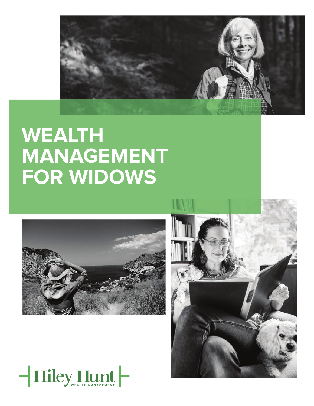

# **WEALTH MANAGEMENT FOR WIDOWS**





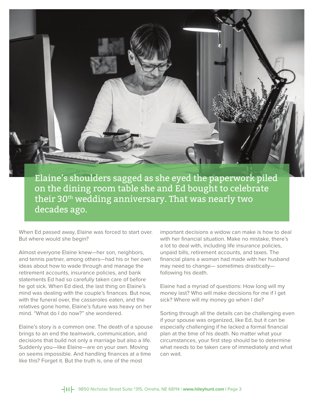

Elaine's shoulders sagged as she eyed the paperwork piled on the dining room table she and Ed bought to celebrate their 30<sup>th</sup> wedding anniversary. That was nearly two decades ago.

When Ed passed away, Elaine was forced to start over. But where would she begin?

Almost everyone Elaine knew—her son, neighbors, and tennis partner, among others—had his or her own ideas about how to wade through and manage the retirement accounts, insurance policies, and bank statements Ed had so carefully taken care of before he got sick. When Ed died, the last thing on Elaine's mind was dealing with the couple's finances. But now, with the funeral over, the casseroles eaten, and the relatives gone home, Elaine's future was heavy on her mind. "What do I do now?" she wondered.

Elaine's story is a common one. The death of a spouse brings to an end the teamwork, communication, and decisions that build not only a marriage but also a life. Suddenly you—like Elaine—are on your own. Moving on seems impossible. And handling finances at a time like this? Forget it. But the truth is, one of the most

important decisions a widow can make is how to deal with her financial situation. Make no mistake, there's a lot to deal with, including life insurance policies, unpaid bills, retirement accounts, and taxes. The financial plans a woman had made with her husband may need to change— sometimes drastically following his death.

Elaine had a myriad of questions: How long will my money last? Who will make decisions for me if I get sick? Where will my money go when I die?

Sorting through all the details can be challenging even if your spouse was organized, like Ed, but it can be especially challenging if he lacked a formal financial plan at the time of his death. No matter what your circumstances, your first step should be to determine what needs to be taken care of immediately and what can wait.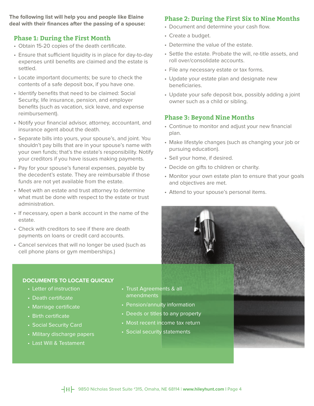**The following list will help you and people like Elaine**  deal with their finances after the passing of a spouse:

# **Phase 1: During the First Month**

- Obtain 15-20 copies of the death certificate.
- Ensure that sufficient liquidity is in place for day-to-day expenses until benefits are claimed and the estate is settled.
- Locate important documents; be sure to check the contents of a safe deposit box, if you have one.
- Identify benefits that need to be claimed: Social Security, life insurance, pension, and employer benefits (such as vacation, sick leave, and expense reimbursement).
- Notify your financial advisor, attorney, accountant, and insurance agent about the death.
- Separate bills into yours, your spouse's, and joint. You shouldn't pay bills that are in your spouse's name with your own funds; that's the estate's responsibility. Notify your creditors if you have issues making payments.
- Pay for your spouse's funeral expenses, payable by the decedent's estate. They are reimbursable if those funds are not yet available from the estate.
- Meet with an estate and trust attorney to determine what must be done with respect to the estate or trust administration.
- If necessary, open a bank account in the name of the estate.
- Check with creditors to see if there are death payments on loans or credit card accounts.
- Cancel services that will no longer be used (such as cell phone plans or gym memberships.)

# **DOCUMENTS TO LOCATE QUICKLY**

- Letter of instruction
- Death certificate
- Marriage certificate
- Birth certificate
- Social Security Card
- Military discharge papers
- Last Will & Testament
- Trust Agreements & all amendments
- Pension/annuity information
- Deeds or titles to any property
- Most recent income tax return
- Social security statements

# **Phase 2: During the First Six to Nine Months**

- Document and determine your cash flow.
- Create a budget.
- Determine the value of the estate.
- Settle the estate. Probate the will, re-title assets, and roll over/consolidate accounts.
- File any necessary estate or tax forms.
- Update your estate plan and designate new beneficiaries.
- Update your safe deposit box, possibly adding a joint owner such as a child or sibling.

# **Phase 3: Beyond Nine Months**

- Continue to monitor and adjust your new financial plan.
- Make lifestyle changes (such as changing your job or pursuing education).
- Sell your home, if desired.
- Decide on gifts to children or charity.
- Monitor your own estate plan to ensure that your goals and objectives are met.
- Attend to your spouse's personal items.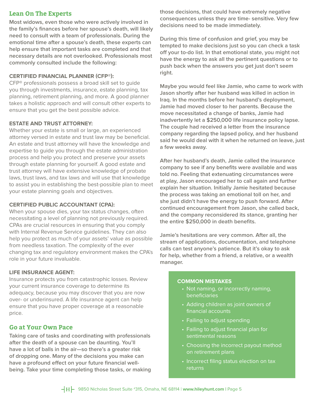## **Lean On The Experts**

**Most widows, even those who were actively involved in**  the family's finances before her spouse's death, will likely **need to consult with a team of professionals. During the emotional time after a spouse's death, these experts can help ensure that important tasks are completed and that necessary details are not overlooked. Professionals most commonly consulted include the following:**

## **CERTIFIED FINANCIAL PLANNER (CFP®):**

CFP® professionals possess a broad skill set to guide you through investments, insurance, estate planning, tax planning, retirement planning, and more. A good planner takes a holistic approach and will consult other experts to ensure that you get the best possible advice.

## **ESTATE AND TRUST ATTORNEY:**

Whether your estate is small or large, an experienced attorney versed in estate and trust law may be beneficial. An estate and trust attorney will have the knowledge and expertise to guide you through the estate administration process and help you protect and preserve your assets through estate planning for yourself. A good estate and trust attorney will have extensive knowledge of probate laws, trust laws, and tax laws and will use that knowledge to assist you in establishing the best-possible plan to meet your estate planning goals and objectives.

#### **CERTIFIED PUBLIC ACCOUNTANT (CPA):**

When your spouse dies, your tax status changes, often necessitating a level of planning not previously required. CPAs are crucial resources in ensuring that you comply with Internal Revenue Service guidelines. They can also help you protect as much of your assets' value as possible from needless taxation. The complexity of the ever changing tax and regulatory environment makes the CPA's role in your future invaluable.

#### **LIFE INSURANCE AGENT:**

Insurance protects you from catastrophic losses. Review your current insurance coverage to determine its adequacy, because you may discover that you are now over- or underinsured. A life insurance agent can help ensure that you have proper coverage at a reasonable price.

## **Go at Your Own Pace**

**Taking care of tasks and coordinating with professionals after the death of a spouse can be daunting. You'll have a lot of balls in the air—so there's a greater risk of dropping one. Many of the decisions you make can**  have a profound effect on your future financial well**being. Take your time completing those tasks, or making**  **those decisions, that could have extremely negative consequences unless they are time- sensitive. Very few decisions need to be made immediately.**

**During this time of confusion and grief, you may be tempted to make decisions just so you can check a task off your to-do list. In that emotional state, you might not have the energy to ask all the pertinent questions or to push back when the answers you get just don't seem right.**

**Maybe you would feel like Jamie, who came to work with Jason shortly after her husband was killed in action in Iraq. In the months before her husband's deployment, Jamie had moved closer to her parents. Because the move necessitated a change of banks, Jamie had inadvertently let a \$250,000 life insurance policy lapse. The couple had received a letter from the insurance company regarding the lapsed policy, and her husband said he would deal with it when he returned on leave, just a few weeks away.**

**After her husband's death, Jamie called the insurance**  company to see if any benefits were available and was **told no. Feeling that extenuating circumstances were at play, Jason encouraged her to call again and further explain her situation. Initially Jamie hesitated because the process was taking an emotional toll on her, and she just didn't have the energy to push forward. After continued encouragement from Jason, she called back, and the company reconsidered its stance, granting her**  the entire \$250,000 in death benefits.

**Jamie's hesitations are very common. After all, the stream of applications, documentation, and telephone calls can test anyone's patience. But it's okay to ask for help, whether from a friend, a relative, or a wealth manager.**

#### **COMMON MISTAKES**

- Not naming, or incorrectly naming, beneficiaries
- Adding children as joint owners of financial accounts
- Failing to adjust spending
- Failing to adjust financial plan for sentimental reasons
- Choosing the incorrect payout method on retirement plans
- Incorrect filing status election on tax returns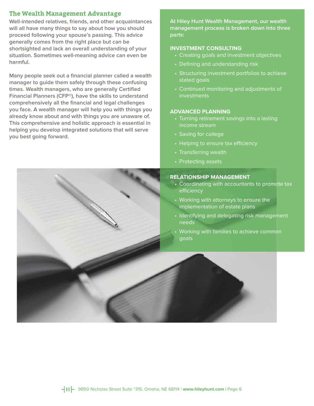## **The Wealth Management Advantage**

**Well-intended relatives, friends, and other acquaintances will all have many things to say about how you should proceed following your spouse's passing. This advice generally comes from the right place but can be shortsighted and lack an overall understanding of your situation. Sometimes well-meaning advice can even be harmful.**

Many people seek out a financial planner called a wealth **manager to guide them safely through these confusing**  times. Wealth managers, who are generally Certified **Financial Planners (CFP®), have the skills to understand**  comprehensively all the financial and legal challenges **you face. A wealth manager will help you with things you already know about and with things you are unaware of. This comprehensive and holistic approach is essential in helping you develop integrated solutions that will serve you best going forward.**

**At Hiley Hunt Wealth Management, our wealth management process is broken down into three parts:** 

## **INVESTMENT CONSULTING**

- Creating goals and investment objectives
- Defining and understanding risk
- Structuring investment portfolios to achieve stated goals
- Continued monitoring and adjustments of investments

## **ADVANCED PLANNING**

- Turning retirement savings into a lasting income stream
- Saving for college
- Helping to ensure tax efficiency
- Transferring wealth
- Protecting assets

## **RELATIONSHIP MANAGEMENT**

- Coordinating with accountants to promote tax efficiency
- Working with attorneys to ensure the implementation of estate plans
- Identifying and delegating risk management needs
- Working with families to achieve common goals

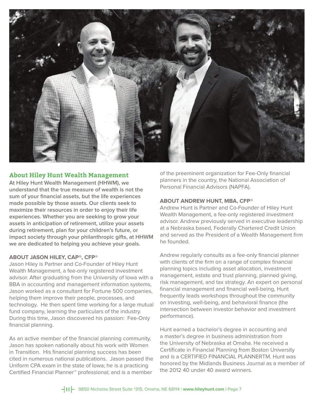

## **About Hiley Hunt Wealth Management**

**At Hiley Hunt Wealth Management (HHWM), we understand that the true measure of wealth is not the sum of your financial assets, but the life experiences made possible by those assets. Our clients seek to maximize their resources in order to enjoy their life experiences. Whether you are seeking to grow your assets in anticipation of retirement, utilize your assets during retirement, plan for your children's future, or impact society through your philanthropic gifts, at HHWM we are dedicated to helping you achieve your goals.**

#### **ABOUT JASON HILEY, CAP®, CFP®**

Jason Hiley is Partner and Co-Founder of Hiley Hunt Wealth Management, a fee-only registered investment advisor. After graduating from the University of Iowa with a BBA in accounting and management information systems, Jason worked as a consultant for Fortune 500 companies, helping them improve their people, processes, and technology. He then spent time working for a large mutual fund company, learning the particulars of the industry. During this time, Jason discovered his passion: Fee-Only financial planning.

As an active member of the financial planning community, Jason has spoken nationally about his work with Women in Transition. His financial planning success has been cited in numerous national publications. Jason passed the Uniform CPA exam in the state of Iowa; he is a practicing Certified Financial Planner™ professional; and is a member

of the preeminent organization for Fee-Only financial planners in the country, the National Association of Personal Financial Advisors (NAPFA).

#### **ABOUT ANDREW HUNT, MBA, CFP®**

Andrew Hunt is Partner and Co-Founder of Hiley Hunt Wealth Management, a fee-only registered investment advisor. Andrew previously served in executive leadership at a Nebraska based, Federally Chartered Credit Union and served as the President of a Wealth Management firm he founded.

Andrew regularly consults as a fee-only financial planner with clients of the firm on a range of complex financial planning topics including asset allocation, investment management, estate and trust planning, planned giving, risk management, and tax strategy. An expert on personal financial management and financial well-being, Hunt frequently leads workshops throughout the community on investing, well-being, and behavioral finance (the intersection between investor behavior and investment performance).

Hunt earned a bachelor's degree in accounting and a master's degree in business administration from the University of Nebraska at Omaha. He received a Certificate in Financial Planning from Boston University and is a CERTIFIED FINANCIAL PLANNERTM. Hunt was honored by the Midlands Business Journal as a member of the 2012 40 under 40 award winners.